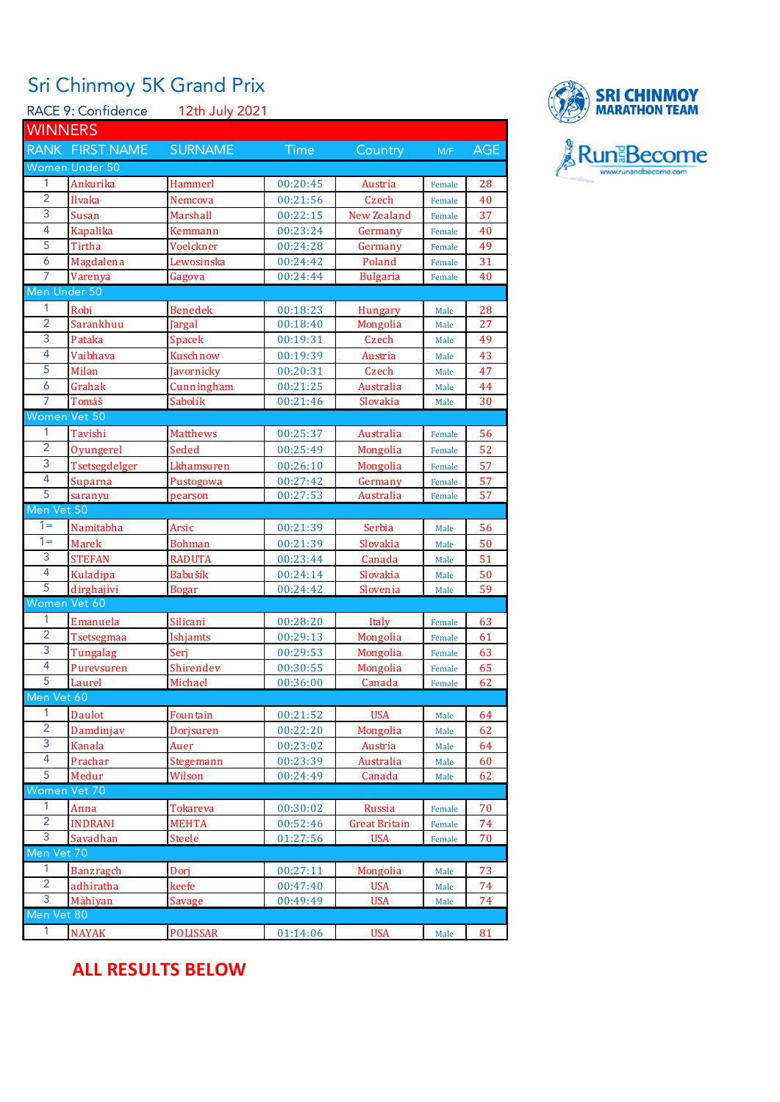## Sri Chinmoy 5K Grand Prix

| RACE 9: Confidence<br>12th July 2021 |                  |                 |             |                 |        |            |  |  |  |
|--------------------------------------|------------------|-----------------|-------------|-----------------|--------|------------|--|--|--|
| <b>WINNERS</b>                       |                  |                 |             |                 |        |            |  |  |  |
|                                      | RANK FIRST NAME  | <b>SURNAME</b>  | <b>Time</b> | Country         | M/F    | <b>AGE</b> |  |  |  |
|                                      | Women Under 50   |                 |             |                 |        |            |  |  |  |
| 1                                    | Ankurika         | <b>Hammerl</b>  | 00:20:45    | Austria         | Female | 28         |  |  |  |
| $\overline{2}$                       | Ilvaka           | Nemcova         | 00:21:56    | Czech           | Female | 40         |  |  |  |
| 3                                    | Susan            | Marshall        | 00:22:15    | New Zealand     | Female | 37         |  |  |  |
| 4                                    | <b>Kapalika</b>  | Kemmann         | 00:23:24    | Germany         | Female | 40         |  |  |  |
| 5                                    | Tirtha           | Voelckner       | 00:24:28    | Germany         | Female | 49         |  |  |  |
| 6                                    | Magdalena        | Lewosinska      | 00:24:42    | Poland          | Female | 31         |  |  |  |
| 7                                    | Varenya          | Gagova          | 00:24:44    | <b>Bulgaria</b> | Female | 40         |  |  |  |
| Men Under 50                         |                  |                 |             |                 |        |            |  |  |  |
| 1                                    | Robi             | Benedek         | 00:18:23    | Hungary         | Male   | 28         |  |  |  |
| $\overline{2}$                       | Sarankhuu        | Jargal          | 00:18:40    | Mongolia        | Male   | 27         |  |  |  |
| 3                                    | Pataka           | Spacek          | 00:19:31    | Czech           | Male   | 49         |  |  |  |
| 4                                    | Vaibhava         | Kuschnow        | 00:19:39    | Austria         | Male   | 43         |  |  |  |
| 5                                    | Milan            | Javornicky      | 00:20:31    | Czech           | Male   | 47         |  |  |  |
| 6                                    | Grahak           | Cunningham      | 00:21:25    | Australia       | Male   | 44         |  |  |  |
| 7                                    | Tomáš            | Sabolík         | 00:21:46    | Slovakia        | Male   | 30         |  |  |  |
| Women Vet 50                         |                  |                 |             |                 |        |            |  |  |  |
| 1                                    | Tavishi          | <b>Matthews</b> | 00:25:37    | Australia       | Female | 56         |  |  |  |
| $\overline{2}$                       | Oyungerel        | Seded           | 00:25:49    | Mongolia        | Female | 52         |  |  |  |
| 3                                    | Tsetsegdelger    | Lkhamsuren      | 00:26:10    | Mongolia        | Female | 57         |  |  |  |
| 4                                    | Suparna          | Pustogowa       | 00:27:42    | Germany         | Female | 57         |  |  |  |
| $\overline{5}$                       | saranyu          | pearson         | 00:27:53    | Australia       | Female | 57         |  |  |  |
| Men Vet 50                           |                  |                 |             |                 |        |            |  |  |  |
| $1 =$                                | Namitabha        | Arsic           | 00:21:39    | Serbia          | Male   | 56         |  |  |  |
| $1 =$                                | <b>Marek</b>     | <b>Bohman</b>   | 00:21:39    | Slovakia        | Male   | 50         |  |  |  |
| 3                                    | <b>STEFAN</b>    | <b>RADUTA</b>   | 00:23:44    | Canada          | Male   | 51         |  |  |  |
| 4                                    | Kuladipa         | Babušík         | 00:24:14    | Slovakia        | Male   | 50         |  |  |  |
| $\overline{5}$                       | dirghajivi       | <b>Bogar</b>    | 00:24:42    | Slovenia        | Male   | 59         |  |  |  |
| Women Vet 60                         |                  |                 |             |                 |        |            |  |  |  |
| 1                                    | Emanuela         | Silicani        | 00:28:20    | Italy           | Female | 63         |  |  |  |
| $\overline{2}$                       | Tsetsegmaa       | Ishjamts        | 00:29:13    | Mongolia        | Female | 61         |  |  |  |
| 3                                    | Tungalag         | Serj            | 00:29:53    | Mongolia        | Female | 63         |  |  |  |
| $\overline{4}$                       | Purevsuren       | Shirendev       | 00:30:55    | Mongolia        | Female | 65         |  |  |  |
| 5                                    | Laurel           | Michael         | 00:36:00    | Canada          | Female | 62         |  |  |  |
| Men Vet 60                           |                  |                 |             |                 |        |            |  |  |  |
| 1                                    | Daulot           | Fountain        | 00:21:52    | <b>USA</b>      | Male   | 64         |  |  |  |
| $\overline{2}$                       | Damdinjav        | Dorjsuren       | 00:22:20    | Mongolia        | Male   | 62         |  |  |  |
| 3                                    | Kanala           | Auer            | 00:23:02    | Austria         | Male   | 64         |  |  |  |
| 4                                    | Prachar          | Stegemann       | 00:23:39    | Australia       | Male   | 60         |  |  |  |
| 5                                    | Medur            | Wilson          | 00:24:49    | Canada          | Male   | 62         |  |  |  |
| Women Vet 70                         |                  |                 |             |                 |        |            |  |  |  |
| 1                                    | Anna             | <b>Tokareva</b> | 00:30:02    | Russia          | Female | 70         |  |  |  |
| $\overline{2}$                       | <b>INDRANI</b>   | <b>MEHTA</b>    | 00:52:46    | Great Britain   | Female | 74         |  |  |  |
| 3                                    | Savadhan         | <b>Steele</b>   | 01:27:56    | <b>USA</b>      | Female | 70         |  |  |  |
| Men Vet 70                           |                  |                 |             |                 |        |            |  |  |  |
| 1                                    | <b>Banzragch</b> | Dorj            | 00:27:11    | Mongolia        | Male   | 73         |  |  |  |
| $\overline{2}$                       | adhiratha        | keefe           | 00:47:40    | <b>USA</b>      | Male   | 74         |  |  |  |
| 3                                    | Màhiyan          | Savage          | 00:49:49    | <b>USA</b>      | Male   | 74         |  |  |  |
| Men Vet 80                           |                  |                 |             |                 |        |            |  |  |  |
| 1                                    | <b>NAYAK</b>     | <b>POLISSAR</b> | 01:14:06    | <b>USA</b>      | Male   | 81         |  |  |  |
|                                      |                  |                 |             |                 |        |            |  |  |  |



## **ALL RESULTS BELOW**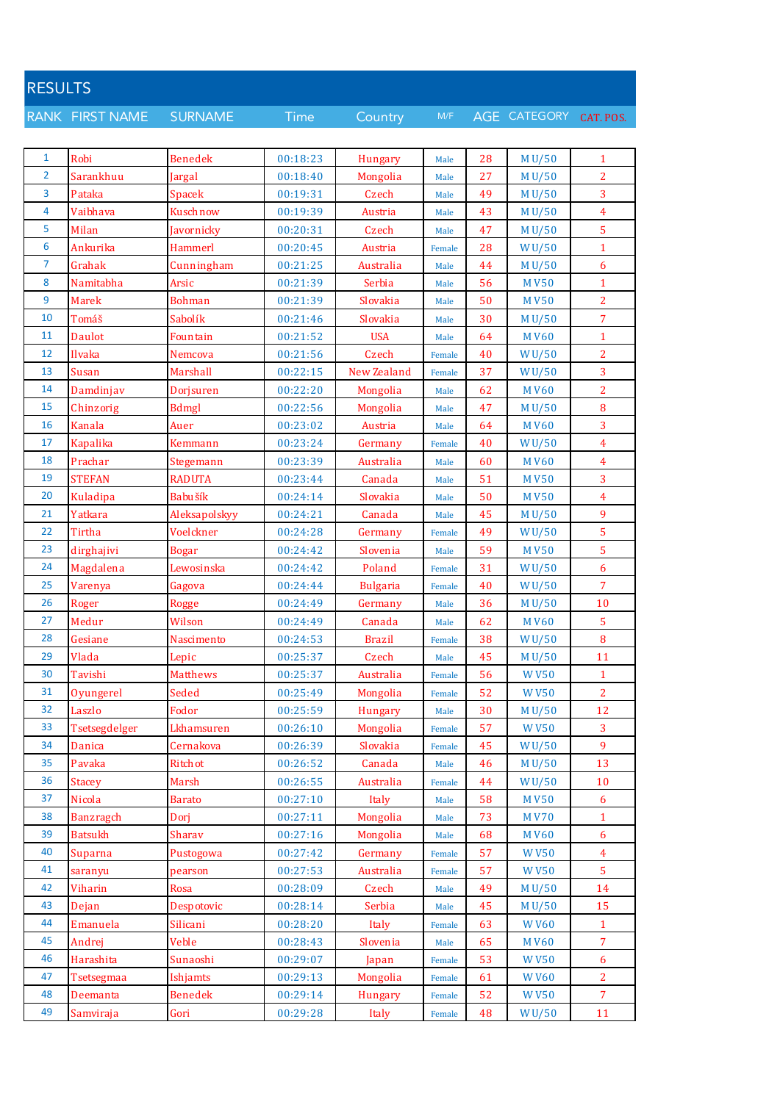| <b>RESULTS</b> |                  |                 |             |                 |        |    |                        |                  |
|----------------|------------------|-----------------|-------------|-----------------|--------|----|------------------------|------------------|
|                | RANK FIRST NAME  | <b>SURNAME</b>  | <b>Time</b> | Country         | M/F    |    | AGE CATEGORY CAT. POS. |                  |
|                |                  |                 |             |                 |        |    |                        |                  |
| $\mathbf{1}$   | Robi             | <b>Benedek</b>  | 00:18:23    | Hungary         | Male   | 28 | MU/50                  | $\mathbf{1}$     |
| $\overline{2}$ | Sarankhuu        | Jargal          | 00:18:40    | Mongolia        | Male   | 27 | M U/50                 | $\overline{2}$   |
| 3              | Pataka           | <b>Spacek</b>   | 00:19:31    | Czech           | Male   | 49 | M U/50                 | 3                |
| 4              | Vaibhava         | Kuschnow        | 00:19:39    | Austria         | Male   | 43 | M U/50                 | 4                |
| 5              | Milan            | Javornicky      | 00:20:31    | Czech           | Male   | 47 | M U/50                 | 5                |
| 6              | Ankurika         | Hammerl         | 00:20:45    | Austria         | Female | 28 | WU/50                  | $\mathbf{1}$     |
| 7              | Grahak           | Cunningham      | 00:21:25    | Australia       | Male   | 44 | M U/50                 | 6                |
| 8              | Namitabha        | Arsic           | 00:21:39    | Serbia          | Male   | 56 | <b>MV50</b>            | $\mathbf{1}$     |
| 9              | <b>Marek</b>     | <b>Bohman</b>   | 00:21:39    | Slovakia        | Male   | 50 | <b>MV50</b>            | $\overline{2}$   |
| 10             | Tomáš            | Sabolík         | 00:21:46    | Slovakia        | Male   | 30 | M U/50                 | $\overline{7}$   |
| 11             | Daulot           | Fountain        | 00:21:52    | <b>USA</b>      | Male   | 64 | <b>MV60</b>            | $\mathbf{1}$     |
| 12             | Ilvaka           | Nemcova         | 00:21:56    | Czech           | Female | 40 | W U/50                 | $\overline{2}$   |
| 13             | Susan            | Marshall        | 00:22:15    | New Zealand     | Female | 37 | <b>WU/50</b>           | 3                |
| 14             | Damdinjav        | Dorjsuren       | 00:22:20    | Mongolia        | Male   | 62 | <b>MV60</b>            | $\overline{c}$   |
| 15             | Chinzorig        | <b>Bdmgl</b>    | 00:22:56    | Mongolia        | Male   | 47 | M U/50                 | 8                |
| 16             | Kanala           | Auer            | 00:23:02    | Austria         | Male   | 64 | <b>MV60</b>            | 3                |
| 17             | <b>Kapalika</b>  | Kemmann         | 00:23:24    | Germany         | Female | 40 | <b>WU/50</b>           | $\overline{4}$   |
| 18             | Prachar          | Stegemann       | 00:23:39    | Australia       | Male   | 60 | <b>MV60</b>            | $\overline{4}$   |
| 19             | <b>STEFAN</b>    | <b>RADUTA</b>   | 00:23:44    | Canada          | Male   | 51 | <b>MV50</b>            | 3                |
| 20             | Kuladipa         | Babušík         | 00:24:14    | Slovakia        | Male   | 50 | <b>MV50</b>            | $\overline{4}$   |
| 21             | Yatkara          | Aleksapolskyy   | 00:24:21    | Canada          | Male   | 45 | M U/50                 | 9                |
| 22             | Tirtha           | Voelckner       | 00:24:28    | Germany         | Female | 49 | W <sub>U</sub> /50     | 5                |
| 23             | dirghajivi       | <b>Bogar</b>    | 00:24:42    | Slovenia        | Male   | 59 | <b>MV50</b>            | 5                |
| 24             | Magdalena        | Lewosinska      | 00:24:42    | Poland          | Female | 31 | <b>WU/50</b>           | 6                |
| 25             | Varenya          | Gagova          | 00:24:44    | <b>Bulgaria</b> | Female | 40 | <b>WU/50</b>           | $\overline{7}$   |
| 26             | Roger            | <b>Rogge</b>    | 00:24:49    | Germany         | Male   | 36 | M U/50                 | 10               |
| 27             | Medur            | Wilson          | 00:24:49    | Canada          | Male   | 62 | <b>MV60</b>            | $\overline{5}$   |
| 28             | Gesiane          | Nascimento      | 00:24:53    | <b>Brazil</b>   | Female | 38 | <b>WU/50</b>           | 8                |
| 29             | Vlada            | Lepic           | 00:25:37    | Czech           | Male   | 45 | M U/50                 | 11               |
| 30             | Tavishi          | <b>Matthews</b> | 00:25:37    | Australia       | Female | 56 | <b>WV50</b>            | $\mathbf{1}$     |
| 31             | Oyungerel        | Seded           | 00:25:49    | Mongolia        | Female | 52 | <b>WV50</b>            | $\overline{2}$   |
| 32             | Laszlo           | Fodor           | 00:25:59    | Hungary         | Male   | 30 | M U/50                 | 12               |
| 33             | Tsetsegdelger    | Lkhamsuren      | 00:26:10    | Mongolia        | Female | 57 | <b>WV50</b>            | 3                |
| 34             | Danica           | Cernakova       | 00:26:39    | Slovakia        | Female | 45 | WU/50                  | 9                |
| 35             | Pavaka           | Ritchot         | 00:26:52    | Canada          | Male   | 46 | M U/50                 | 13               |
| 36             | <b>Stacey</b>    | Marsh           | 00:26:55    | Australia       | Female | 44 | WU/50                  | 10               |
| 37             | Nicola           | <b>Barato</b>   | 00:27:10    | Italy           | Male   | 58 | <b>MV50</b>            | $\boldsymbol{6}$ |
| 38             | <b>Banzragch</b> | Dorj            | 00:27:11    | Mongolia        | Male   | 73 | <b>MV70</b>            | $\mathbf{1}$     |
| 39             | <b>Batsukh</b>   | Sharav          | 00:27:16    | Mongolia        | Male   | 68 | <b>MV60</b>            | $\boldsymbol{6}$ |
| 40             | Suparna          | Pustogowa       | 00:27:42    | Germany         | Female | 57 | <b>WV50</b>            | $\overline{4}$   |
| 41             | saranyu          | pearson         | 00:27:53    | Australia       | Female | 57 | <b>WV50</b>            | 5                |
| 42             | Viharin          | Rosa            | 00:28:09    | Czech           | Male   | 49 | M U/50                 | 14               |
| 43             | Dejan            | Despotovic      | 00:28:14    | Serbia          | Male   | 45 | M U/50                 | 15               |
| 44             | Emanuela         | Silicani        | 00:28:20    | Italy           | Female | 63 | <b>WV60</b>            | $\mathbf{1}$     |
| 45             | Andrej           | Veble           | 00:28:43    | Slovenia        | Male   | 65 | <b>MV60</b>            | $\overline{7}$   |
| 46             | Harashita        | Sunaoshi        | 00:29:07    | Japan           | Female | 53 | <b>WV50</b>            | 6                |
| 47             | Tsetsegmaa       | Ishjamts        | 00:29:13    | Mongolia        | Female | 61 | <b>WV60</b>            | $\overline{2}$   |
| 48             | Deemanta         | <b>Benedek</b>  | 00:29:14    | Hungary         | Female | 52 | <b>WV50</b>            | $\overline{7}$   |
| 49             | Samviraja        | Gori            | 00:29:28    | Italy           | Female | 48 | WU/50                  | 11               |